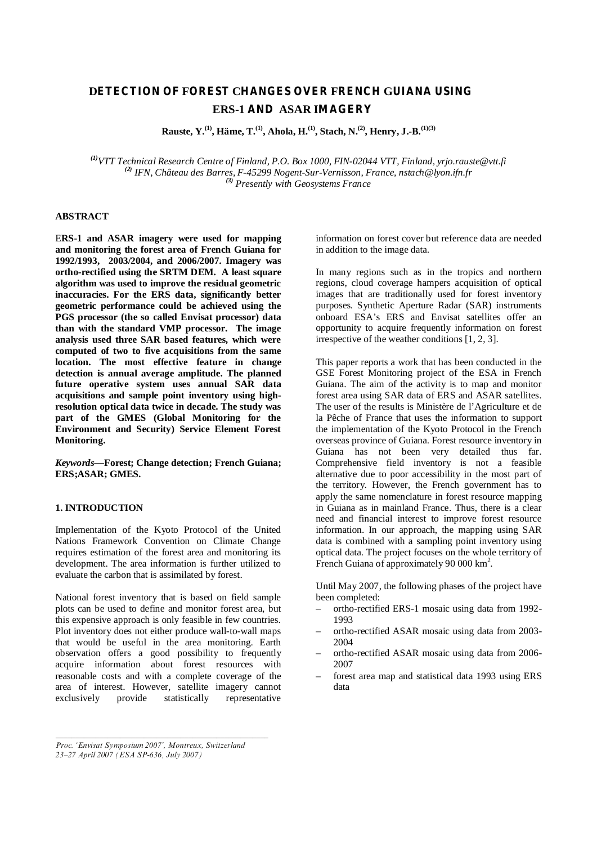# **DETECTION OF FOREST CHANGES OVER FRENCH GUIANA USING ERS-1 AND ASAR IMAGERY**

**Rauste, Y.(1), Häme, T.(1), Ahola, H.(1), Stach, N.(2), Henry, J.-B.(1)(3)**

*(1)VTT Technical Research Centre of Finland, P.O. Box 1000, FIN-02044 VTT, Finland, [yrjo.rauste@vtt.fi](mailto:yrjo.rauste@vtt.fi) (2) IFN, Château des Barres, F-45299 Nogent-Sur-Vernisson, France, [nstach@lyon.ifn.fr](mailto:nstach@lyon.ifn.fr) (3) Presently with Geosystems France*

# **ABSTRACT**

E**RS-1 and ASAR imagery were used for mapping and monitoring the forest area of French Guiana for 1992/1993, 2003/2004, and 2006/2007. Imagery was ortho-rectified using the SRTM DEM. A least square algorithm was used to improve the residual geometric inaccuracies. For the ERS data, significantly better geometric performance could be achieved using the PGS processor (the so called Envisat processor) data than with the standard VMP processor. The image analysis used three SAR based features, which were computed of two to five acquisitions from the same location. The most effective feature in change detection is annual average amplitude. The planned future operative system uses annual SAR data acquisitions and sample point inventory using highresolution optical data twice in decade. The study was part of the GMES (Global Monitoring for the Environment and Security) Service Element Forest Monitoring.**

*Keywords—* **Forest; Change detection; French Guiana; ERS;ASAR; GMES.**

## **1. INTRODUCTION**

Implementation of the Kyoto Protocol of the United Nations Framework Convention on Climate Change requires estimation of the forest area and monitoring its development. The area information is further utilized to evaluate the carbon that is assimilated by forest.

National forest inventory that is based on field sample plots can be used to define and monitor forest area, but this expensive approach is only feasible in few countries. Plot inventory does not either produce wall-to-wall maps that would be useful in the area monitoring. Earth observation offers a good possibility to frequently acquire information about forest resources with reasonable costs and with a complete coverage of the area of interest. However, satellite imagery cannot exclusively provide statistically representative

information on forest cover but reference data are needed in addition to the image data.

In many regions such as in the tropics and northern regions, cloud coverage hampers acquisition of optical images that are traditionally used for forest inventory purposes. Synthetic Aperture Radar (SAR) instruments onboard ESA's ERS and Envisat satellites offer an opportunity to acquire frequently information on forest irrespective of the weather conditions [1, 2, 3].

This paper reports a work that has been conducted in the GSE Forest Monitoring project of the ESA in French Guiana. The aim of the activity is to map and monitor forest area using SAR data of ERS and ASAR satellites. The user of the results is Ministère de l'Agriculture et de la Pêche of France that uses the information to support the implementation of the Kyoto Protocol in the French overseas province of Guiana. Forest resource inventory in Guiana has not been very detailed thus far. Comprehensive field inventory is not a feasible alternative due to poor accessibility in the most part of the territory. However, the French government has to apply the same nomenclature in forest resource mapping in Guiana as in mainland France. Thus, there is a clear need and financial interest to improve forest resource information. In our approach, the mapping using SAR data is combined with a sampling point inventory using optical data. The project focuses on the whole territory of French Guiana of approximately 90 000 km<sup>2</sup>.

Until May 2007, the following phases of the project have been completed:

- ortho-rectified ERS-1 mosaic using data from 1992- 1993
- ortho-rectified ASAR mosaic using data from 2003- 2004
- ortho-rectified ASAR mosaic using data from 2006- 2007
- forest area map and statistical data 1993 using ERS data

*Proc. 'Envisat Symposium 2007', Montreux, Switzerland 23–27 April 2007 (ESA SP-636, July 2007)*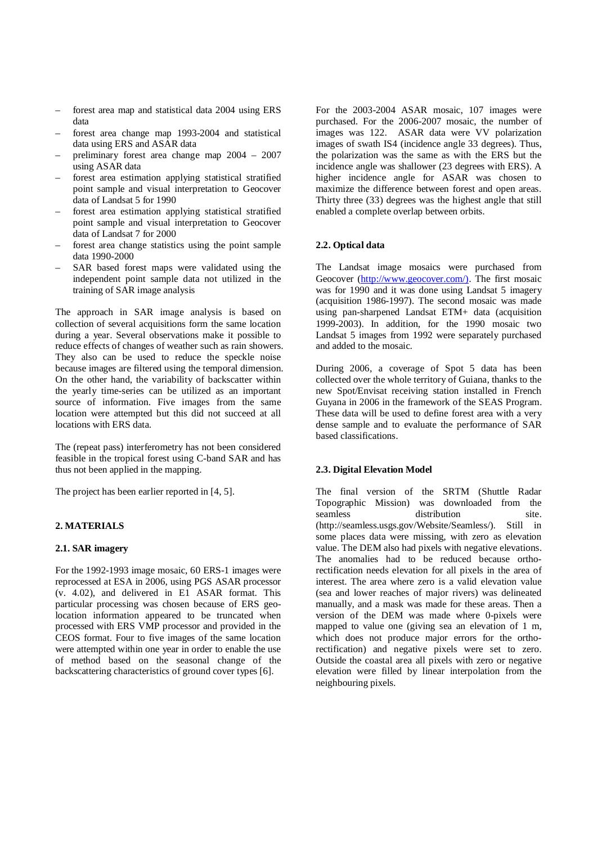- forest area map and statistical data 2004 using ERS data
- forest area change map 1993-2004 and statistical data using ERS and ASAR data
- preliminary forest area change map 2004 2007 using ASAR data
- forest area estimation applying statistical stratified point sample and visual interpretation to Geocover data of Landsat 5 for 1990
- forest area estimation applying statistical stratified point sample and visual interpretation to Geocover data of Landsat 7 for 2000
- forest area change statistics using the point sample data 1990-2000
- SAR based forest maps were validated using the independent point sample data not utilized in the training of SAR image analysis

The approach in SAR image analysis is based on collection of several acquisitions form the same location during a year. Several observations make it possible to reduce effects of changes of weather such as rain showers. They also can be used to reduce the speckle noise because images are filtered using the temporal dimension. On the other hand, the variability of backscatter within the yearly time-series can be utilized as an important source of information. Five images from the same location were attempted but this did not succeed at all locations with ERS data.

The (repeat pass) interferometry has not been considered feasible in the tropical forest using C-band SAR and has thus not been applied in the mapping.

The project has been earlier reported in [4, 5].

## **2. MATERIALS**

## **2.1. SAR imagery**

For the 1992-1993 image mosaic, 60 ERS-1 images were reprocessed at ESA in 2006, using PGS ASAR processor (v. 4.02), and delivered in E1 ASAR format. This particular processing was chosen because of ERS geolocation information appeared to be truncated when processed with ERS VMP processor and provided in the CEOS format. Four to five images of the same location were attempted within one year in order to enable the use of method based on the seasonal change of the backscattering characteristics of ground cover types [6].

For the 2003-2004 ASAR mosaic, 107 images were purchased. For the 2006-2007 mosaic, the number of images was 122. ASAR data were VV polarization images of swath IS4 (incidence angle 33 degrees). Thus, the polarization was the same as with the ERS but the incidence angle was shallower (23 degrees with ERS). A higher incidence angle for ASAR was chosen to maximize the difference between forest and open areas. Thirty three (33) degrees was the highest angle that still enabled a complete overlap between orbits.

## **2.2. Optical data**

The Landsat image mosaics were purchased from Geocover (<http://www.geocover.com/>). The first mosaic was for 1990 and it was done using Landsat 5 imagery (acquisition 1986-1997). The second mosaic was made using pan-sharpened Landsat ETM+ data (acquisition 1999-2003). In addition, for the 1990 mosaic two Landsat 5 images from 1992 were separately purchased and added to the mosaic.

During 2006, a coverage of Spot 5 data has been collected over the whole territory of Guiana, thanks to the new Spot/Envisat receiving station installed in French Guyana in 2006 in the framework of the SEAS Program. These data will be used to define forest area with a very dense sample and to evaluate the performance of SAR based classifications.

#### **2.3. Digital Elevation Model**

The final version of the SRTM (Shuttle Radar Topographic Mission) was downloaded from the seamless distribution site. [\(http://seamless.usgs.gov/Website/Seamless/\)](http://seamless.usgs.gov/Website/Seamless/). Still in some places data were missing, with zero as elevation value. The DEM also had pixels with negative elevations. The anomalies had to be reduced because orthorectification needs elevation for all pixels in the area of interest. The area where zero is a valid elevation value (sea and lower reaches of major rivers) was delineated manually, and a mask was made for these areas. Then a version of the DEM was made where 0-pixels were mapped to value one (giving sea an elevation of 1 m, which does not produce major errors for the orthorectification) and negative pixels were set to zero. Outside the coastal area all pixels with zero or negative elevation were filled by linear interpolation from the neighbouring pixels.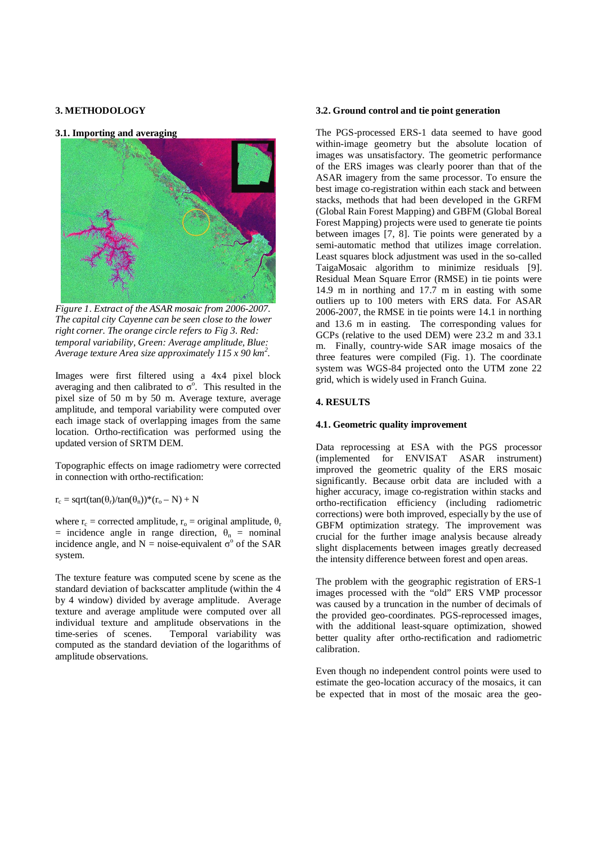## **3. METHODOLOGY**

#### **3.1. Importing and averaging**



*Figure 1. Extract of the ASAR mosaic from 2006-2007. The capital city Cayenne can be seen close to the lower right corner. The orange circle refers to Fig 3. Red: temporal variability, Green: Average amplitude, Blue: Average texture Area size approximately 115 x 90 km<sup>2</sup> .*

Images were first filtered using a 4x4 pixel block averaging and then calibrated to  $\sigma^{\circ}$ . This resulted in the pixel size of 50 m by 50 m. Average texture, average amplitude, and temporal variability were computed over each image stack of overlapping images from the same location. Ortho-rectification was performed using the updated version of SRTM DEM.

Topographic effects on image radiometry were corrected in connection with ortho-rectification:

 $r_c = \sqrt{\tan(\theta_r)}\tan(\theta_n)$ <sup>\*</sup> $(r_o - N) + N$ 

where  $r_c$  = corrected amplitude,  $r_o$  = original amplitude,  $\theta_r$ = incidence angle in range direction,  $\theta_n$  = nominal incidence angle, and  $N = noise$ -equivalent  $\sigma^{\circ}$  of the SAR system.

The texture feature was computed scene by scene as the standard deviation of backscatter amplitude (within the 4 by 4 window) divided by average amplitude. Average texture and average amplitude were computed over all individual texture and amplitude observations in the time-series of scenes. Temporal variability was computed as the standard deviation of the logarithms of amplitude observations.

#### **3.2. Ground control and tie point generation**

The PGS-processed ERS-1 data seemed to have good within-image geometry but the absolute location of images was unsatisfactory. The geometric performance of the ERS images was clearly poorer than that of the ASAR imagery from the same processor. To ensure the best image co-registration within each stack and between stacks, methods that had been developed in the GRFM (Global Rain Forest Mapping) and GBFM (Global Boreal Forest Mapping) projects were used to generate tie points between images [7, 8]. Tie points were generated by a semi-automatic method that utilizes image correlation. Least squares block adjustment was used in the so-called TaigaMosaic algorithm to minimize residuals [9]. Residual Mean Square Error (RMSE) in tie points were 14.9 m in northing and 17.7 m in easting with some outliers up to 100 meters with ERS data. For ASAR 2006-2007, the RMSE in tie points were 14.1 in northing and 13.6 m in easting. The corresponding values for GCPs (relative to the used DEM) were 23.2 m and 33.1 m. Finally, country-wide SAR image mosaics of the three features were compiled (Fig. 1). The coordinate system was WGS-84 projected onto the UTM zone 22 grid, which is widely used in Franch Guina.

## **4. RESULTS**

#### **4.1. Geometric quality improvement**

Data reprocessing at ESA with the PGS processor (implemented for ENVISAT ASAR instrument) improved the geometric quality of the ERS mosaic significantly. Because orbit data are included with a higher accuracy, image co-registration within stacks and ortho-rectification efficiency (including radiometric corrections) were both improved, especially by the use of GBFM optimization strategy. The improvement was crucial for the further image analysis because already slight displacements between images greatly decreased the intensity difference between forest and open areas.

The problem with the geographic registration of ERS-1 images processed with the "old" ERS VMP processor was caused by a truncation in the number of decimals of the provided geo-coordinates. PGS-reprocessed images, with the additional least-square optimization, showed better quality after ortho-rectification and radiometric calibration.

Even though no independent control points were used to estimate the geo-location accuracy of the mosaics, it can be expected that in most of the mosaic area the geo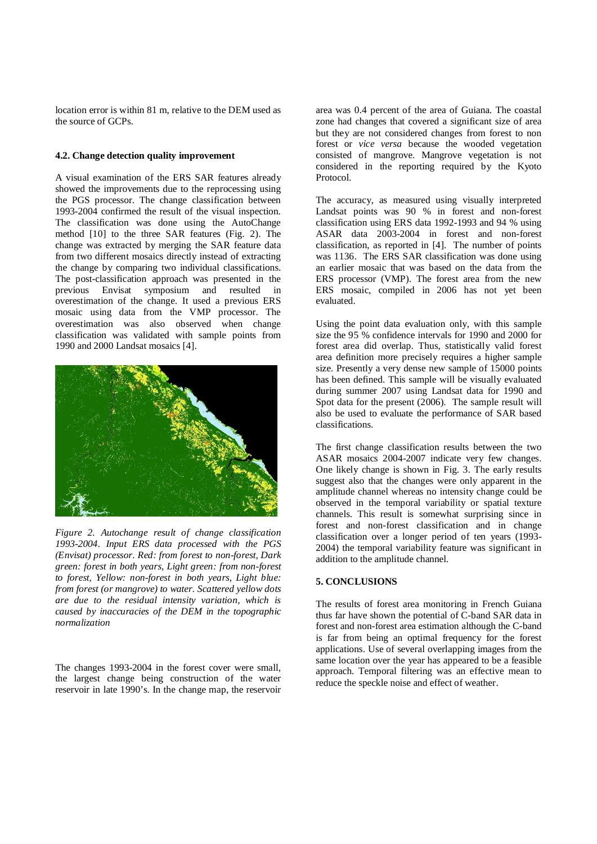location error is within 81 m, relative to the DEM used as the source of GCPs.

## **4.2. Change detection quality improvement**

A visual examination of the ERS SAR features already showed the improvements due to the reprocessing using the PGS processor. The change classification between 1993-2004 confirmed the result of the visual inspection. The classification was done using the AutoChange method [10] to the three SAR features (Fig. 2). The change was extracted by merging the SAR feature data from two different mosaics directly instead of extracting the change by comparing two individual classifications. The post-classification approach was presented in the previous Envisat symposium and resulted in overestimation of the change. It used a previous ERS mosaic using data from the VMP processor. The overestimation was also observed when change classification was validated with sample points from 1990 and 2000 Landsat mosaics [4].



*Figure 2. Autochange result of change classification 1993-2004. Input ERS data processed with the PGS (Envisat) processor. Red: from forest to non-forest, Dark green: forest in both years, Light green: from non-forest to forest, Yellow: non-forest in both years, Light blue: from forest (or mangrove) to water. Scattered yellow dots are due to the residual intensity variation, which is caused by inaccuracies of the DEM in the topographic normalization*

The changes 1993-2004 in the forest cover were small, the largest change being construction of the water reservoir in late 1990's. In the change map, the reservoir area was 0.4 percent of the area of Guiana. The coastal zone had changes that covered a significant size of area but they are not considered changes from forest to non forest or *vice versa* because the wooded vegetation consisted of mangrove. Mangrove vegetation is not considered in the reporting required by the Kyoto Protocol.

The accuracy, as measured using visually interpreted Landsat points was 90 % in forest and non-forest classification using ERS data 1992-1993 and 94 % using ASAR data 2003-2004 in forest and non-forest classification, as reported in [4]. The number of points was 1136. The ERS SAR classification was done using an earlier mosaic that was based on the data from the ERS processor (VMP). The forest area from the new ERS mosaic, compiled in 2006 has not yet been evaluated.

Using the point data evaluation only, with this sample size the 95 % confidence intervals for 1990 and 2000 for forest area did overlap. Thus, statistically valid forest area definition more precisely requires a higher sample size. Presently a very dense new sample of 15000 points has been defined. This sample will be visually evaluated during summer 2007 using Landsat data for 1990 and Spot data for the present (2006). The sample result will also be used to evaluate the performance of SAR based classifications.

The first change classification results between the two ASAR mosaics 2004-2007 indicate very few changes. One likely change is shown in Fig. 3. The early results suggest also that the changes were only apparent in the amplitude channel whereas no intensity change could be observed in the temporal variability or spatial texture channels. This result is somewhat surprising since in forest and non-forest classification and in change classification over a longer period of ten years (1993- 2004) the temporal variability feature was significant in addition to the amplitude channel.

## **5. CONCLUSIONS**

The results of forest area monitoring in French Guiana thus far have shown the potential of C-band SAR data in forest and non-forest area estimation although the C-band is far from being an optimal frequency for the forest applications. Use of several overlapping images from the same location over the year has appeared to be a feasible approach. Temporal filtering was an effective mean to reduce the speckle noise and effect of weather.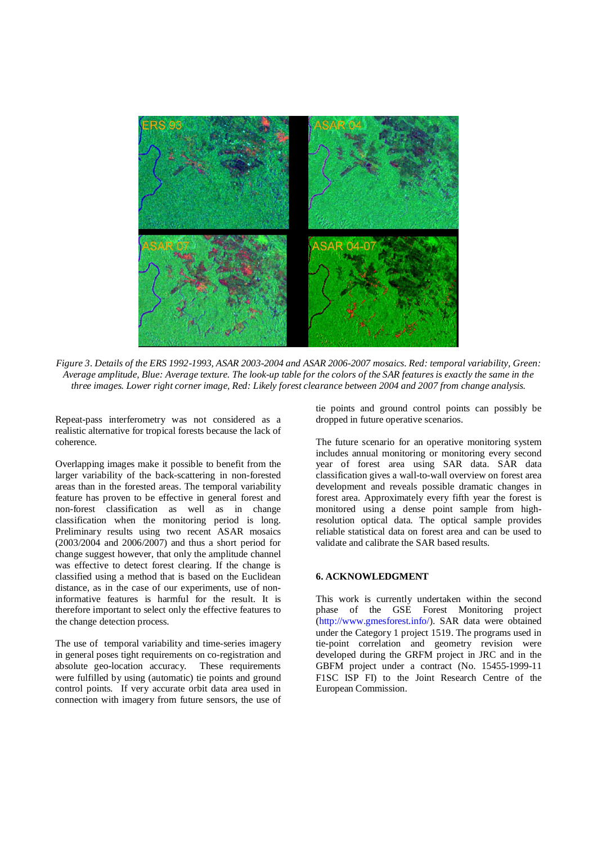

*Figure 3. Details of the ERS 1992-1993, ASAR 2003-2004 and ASAR 2006-2007 mosaics. Red: temporal variability, Green: Average amplitude, Blue: Average texture. The look-up table for the colors of the SAR features is exactly the same in the three images. Lower right corner image, Red: Likely forest clearance between 2004 and 2007 from change analysis.*

Repeat-pass interferometry was not considered as a realistic alternative for tropical forests because the lack of coherence.

Overlapping images make it possible to benefit from the larger variability of the back-scattering in non-forested areas than in the forested areas. The temporal variability feature has proven to be effective in general forest and non-forest classification as well as in change classification when the monitoring period is long. Preliminary results using two recent ASAR mosaics (2003/2004 and 2006/2007) and thus a short period for change suggest however, that only the amplitude channel was effective to detect forest clearing. If the change is classified using a method that is based on the Euclidean distance, as in the case of our experiments, use of noninformative features is harmful for the result. It is therefore important to select only the effective features to the change detection process.

The use of temporal variability and time-series imagery in general poses tight requirements on co-registration and absolute geo-location accuracy. These requirements were fulfilled by using (automatic) tie points and ground control points. If very accurate orbit data area used in connection with imagery from future sensors, the use of

tie points and ground control points can possibly be dropped in future operative scenarios.

The future scenario for an operative monitoring system includes annual monitoring or monitoring every second year of forest area using SAR data. SAR data classification gives a wall-to-wall overview on forest area development and reveals possible dramatic changes in forest area. Approximately every fifth year the forest is monitored using a dense point sample from highresolution optical data. The optical sample provides reliable statistical data on forest area and can be used to validate and calibrate the SAR based results.

## **6. ACKNOWLEDGMENT**

This work is currently undertaken within the second phase of the GSE Forest Monitoring project [\(http://www.gmesforest.info/](http://www.gmesforest.info/)). SAR data were obtained under the Category 1 project 1519. The programs used in tie-point correlation and geometry revision were developed during the GRFM project in JRC and in the GBFM project under a contract (No. 15455-1999-11 F1SC ISP FI) to the Joint Research Centre of the European Commission.